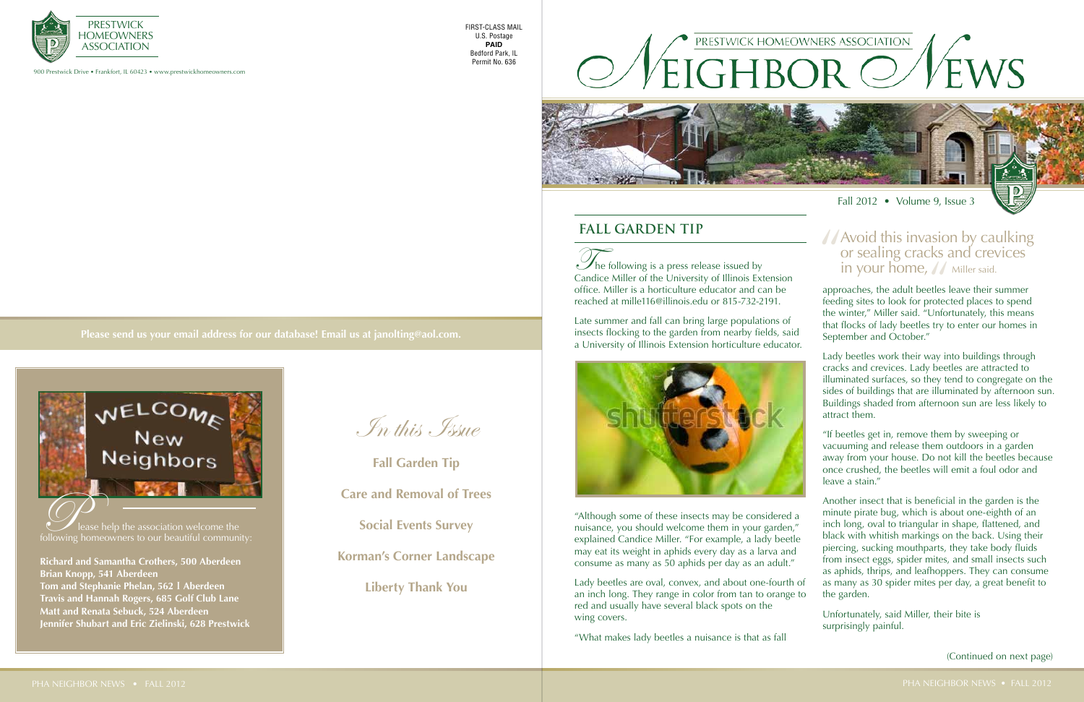$\mathcal{D}_{\text{he}}$  following is a press release issued by Candice Miller of the University of Illinois Extension office. Miller is a horticulture educator and can be reached at mille116@illinois.edu or 815-732-2191.

Late summer and fall can bring large populations of insects flocking to the garden from nearby fields, said a University of Illinois Extension horticulture educator.



approaches, the adult beetles leave their summer feeding sites to look for protected places to spend the winter," Miller said. "Unfortunately, this means that flocks of lady beetles try to enter our homes in September and October." in your home,  $\frac{1}{2}$  Miller said.<br>
"backing sites to look for protected places to

"Although some of these insects may be considered a nuisance, you should welcome them in your garden," explained Candice Miller. "For example, a lady beetle may eat its weight in aphids every day as a larva and consume as many as 50 aphids per day as an adult."

Lady beetles are oval, convex, and about one-fourth of an inch long. They range in color from tan to orange to red and usually have several black spots on the wing covers.

"What makes lady beetles a nuisance is that as fall

Lady beetles work their way into buildings through cracks and crevices. Lady beetles are attracted to illuminated surfaces, so they tend to congregate on the sides of buildings that are illuminated by afternoon sun. Buildings shaded from afternoon sun are less likely to attract them.

"If beetles get in, remove them by sweeping or vacuuming and release them outdoors in a garden away from your house. Do not kill the beetles because once crushed, the beetles will emit a foul odor and leave a stain."

Another insect that is beneficial in the garden is the minute pirate bug, which is about one-eighth of an inch long, oval to triangular in shape, flattened, and black with whitish markings on the back. Using their piercing, sucking mouthparts, they take body fluids from insect eggs, spider mites, and small insects such as aphids, thrips, and leafhoppers. They can consume as many as 30 spider mites per day, a great benefit to the garden.

Unfortunately, said Miller, their bite is surprisingly painful.

In this Issue

**Fall Garden Tip Care and Removal of Trees**

**Social Events Survey**

**Korman's Corner Landscape**

**Liberty Thank You**

900 Prestwick Drive • Frankfort, IL 60423 • www.prestwickhomeowners.com



**Please send us your email address for our database! Email us at janolting@aol.com.**

FIRST-CLASS MAIL U.S. Postage **PAID** Bedford Park, IL Permit No. 636

## **Fall Garden Tip**

(Continued on next page)





**Richard and Samantha Crothers, 500 Aberdeen Brian Knopp, 541 Aberdeen Tom and Stephanie Phelan, 562 I Aberdeen Travis and Hannah Rogers, 685 Golf Club Lane Matt and Renata Sebuck, 524 Aberdeen Jennifer Shubart and Eric Zielinski, 628 Prestwick**



# Avoid this invasion by caulking<br>or sealing cracks and crevices<br>in your home,  $\bigwedge$  miller said. or sealing cracks and crevices